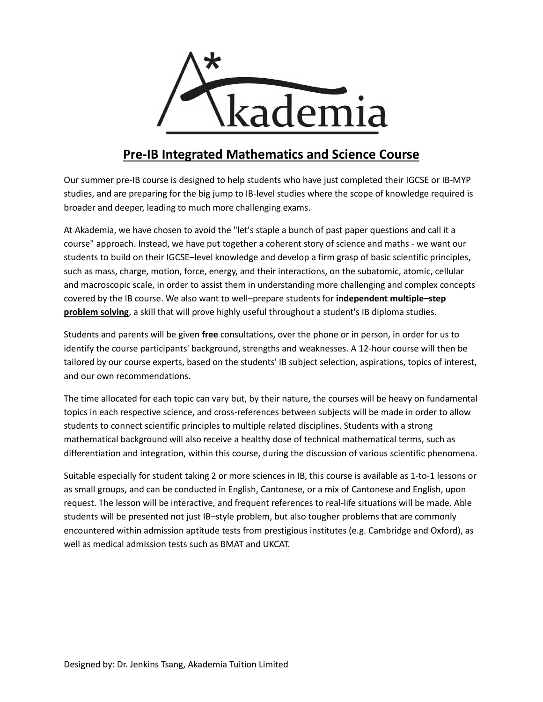

# **Pre-IB Integrated Mathematics and Science Course**

Our summer pre-IB course is designed to help students who have just completed their IGCSE or IB-MYP studies, and are preparing for the big jump to IB-level studies where the scope of knowledge required is broader and deeper, leading to much more challenging exams.

At Akademia, we have chosen to avoid the "let's staple a bunch of past paper questions and call it a course" approach. Instead, we have put together a coherent story of science and maths - we want our students to build on their IGCSE–level knowledge and develop a firm grasp of basic scientific principles, such as mass, charge, motion, force, energy, and their interactions, on the subatomic, atomic, cellular and macroscopic scale, in order to assist them in understanding more challenging and complex concepts covered by the IB course. We also want to well–prepare students for **independent multiple–step problem solving**, a skill that will prove highly useful throughout a student's IB diploma studies.

Students and parents will be given **free** consultations, over the phone or in person, in order for us to identify the course participants' background, strengths and weaknesses. A 12-hour course will then be tailored by our course experts, based on the students' IB subject selection, aspirations, topics of interest, and our own recommendations.

The time allocated for each topic can vary but, by their nature, the courses will be heavy on fundamental topics in each respective science, and cross-references between subjects will be made in order to allow students to connect scientific principles to multiple related disciplines. Students with a strong mathematical background will also receive a healthy dose of technical mathematical terms, such as differentiation and integration, within this course, during the discussion of various scientific phenomena.

Suitable especially for student taking 2 or more sciences in IB, this course is available as 1-to-1 lessons or as small groups, and can be conducted in English, Cantonese, or a mix of Cantonese and English, upon request. The lesson will be interactive, and frequent references to real-life situations will be made. Able students will be presented not just IB–style problem, but also tougher problems that are commonly encountered within admission aptitude tests from prestigious institutes (e.g. Cambridge and Oxford), as well as medical admission tests such as BMAT and UKCAT.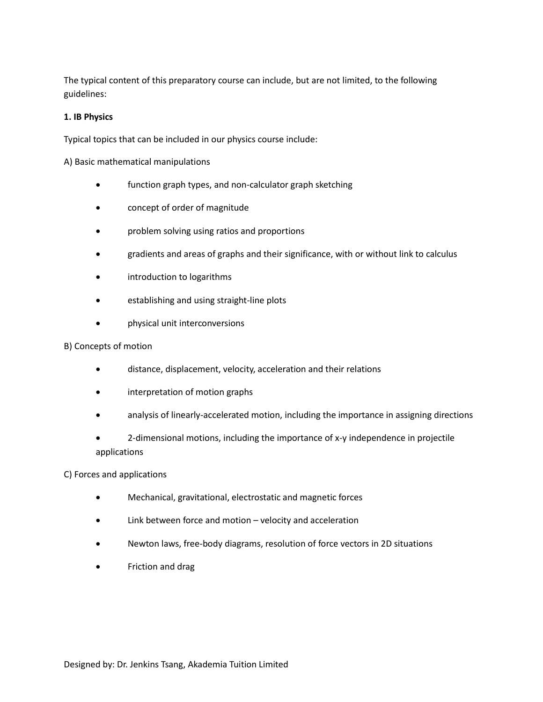The typical content of this preparatory course can include, but are not limited, to the following guidelines:

# **1. IB Physics**

Typical topics that can be included in our physics course include:

A) Basic mathematical manipulations

- function graph types, and non-calculator graph sketching
- concept of order of magnitude
- **•** problem solving using ratios and proportions
- gradients and areas of graphs and their significance, with or without link to calculus
- introduction to logarithms
- establishing and using straight-line plots
- physical unit interconversions

# B) Concepts of motion

- distance, displacement, velocity, acceleration and their relations
- **•** interpretation of motion graphs
- analysis of linearly-accelerated motion, including the importance in assigning directions
- 2-dimensional motions, including the importance of x-y independence in projectile applications

# C) Forces and applications

- Mechanical, gravitational, electrostatic and magnetic forces
- Link between force and motion velocity and acceleration
- Newton laws, free-body diagrams, resolution of force vectors in 2D situations
- Friction and drag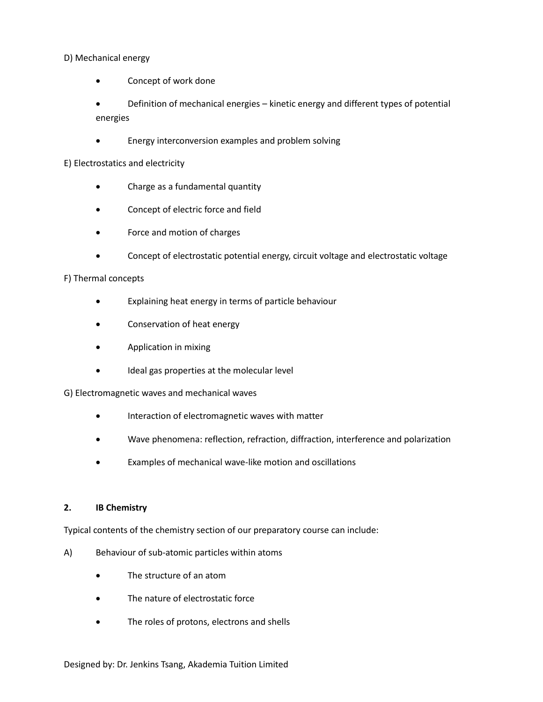# D) Mechanical energy

Concept of work done

 Definition of mechanical energies – kinetic energy and different types of potential energies

Energy interconversion examples and problem solving

# E) Electrostatics and electricity

- Charge as a fundamental quantity
- Concept of electric force and field
- Force and motion of charges
- Concept of electrostatic potential energy, circuit voltage and electrostatic voltage

# F) Thermal concepts

- Explaining heat energy in terms of particle behaviour
- Conservation of heat energy
- Application in mixing
- Ideal gas properties at the molecular level

# G) Electromagnetic waves and mechanical waves

- **•** Interaction of electromagnetic waves with matter
- Wave phenomena: reflection, refraction, diffraction, interference and polarization
- Examples of mechanical wave-like motion and oscillations

# **2. IB Chemistry**

Typical contents of the chemistry section of our preparatory course can include:

- A) Behaviour of sub-atomic particles within atoms
	- The structure of an atom
	- The nature of electrostatic force
	- The roles of protons, electrons and shells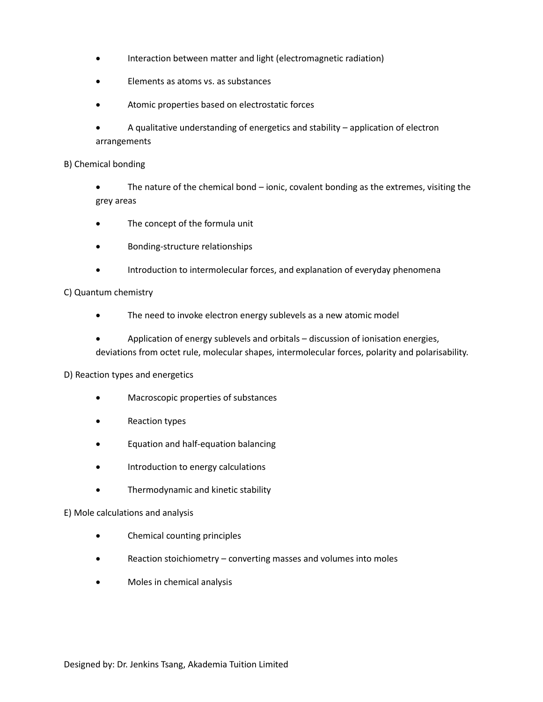- Interaction between matter and light (electromagnetic radiation)
- Elements as atoms vs. as substances
- Atomic properties based on electrostatic forces
- A qualitative understanding of energetics and stability application of electron arrangements

## B) Chemical bonding

 The nature of the chemical bond – ionic, covalent bonding as the extremes, visiting the grey areas

- The concept of the formula unit
- Bonding-structure relationships
- Introduction to intermolecular forces, and explanation of everyday phenomena

#### C) Quantum chemistry

- The need to invoke electron energy sublevels as a new atomic model
- Application of energy sublevels and orbitals discussion of ionisation energies, deviations from octet rule, molecular shapes, intermolecular forces, polarity and polarisability.

# D) Reaction types and energetics

- Macroscopic properties of substances
- Reaction types
- Equation and half-equation balancing
- **•** Introduction to energy calculations
- **•** Thermodynamic and kinetic stability

#### E) Mole calculations and analysis

- Chemical counting principles
- Reaction stoichiometry converting masses and volumes into moles
- Moles in chemical analysis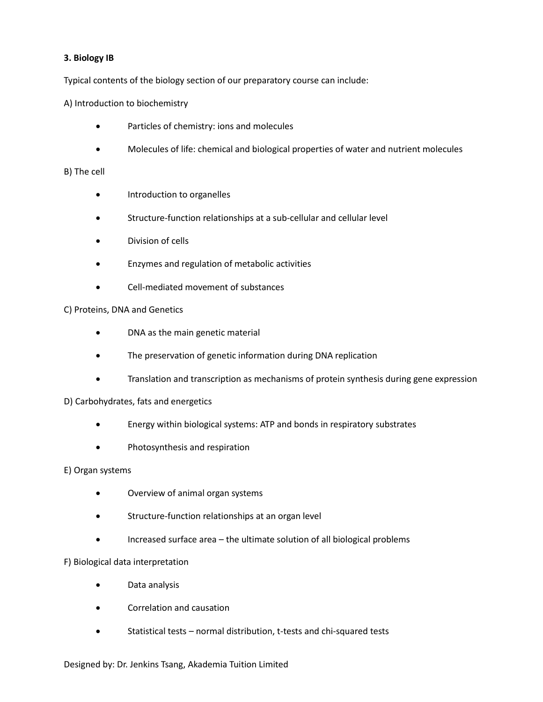# **3. Biology IB**

Typical contents of the biology section of our preparatory course can include:

A) Introduction to biochemistry

- Particles of chemistry: ions and molecules
- Molecules of life: chemical and biological properties of water and nutrient molecules

# B) The cell

- **•** Introduction to organelles
- Structure-function relationships at a sub-cellular and cellular level
- Division of cells
- Enzymes and regulation of metabolic activities
- Cell-mediated movement of substances

# C) Proteins, DNA and Genetics

- DNA as the main genetic material
- The preservation of genetic information during DNA replication
- Translation and transcription as mechanisms of protein synthesis during gene expression

# D) Carbohydrates, fats and energetics

- Energy within biological systems: ATP and bonds in respiratory substrates
- Photosynthesis and respiration

# E) Organ systems

- Overview of animal organ systems
- Structure-function relationships at an organ level
- Increased surface area the ultimate solution of all biological problems

# F) Biological data interpretation

- Data analysis
- Correlation and causation
- Statistical tests normal distribution, t-tests and chi-squared tests

#### Designed by: Dr. Jenkins Tsang, Akademia Tuition Limited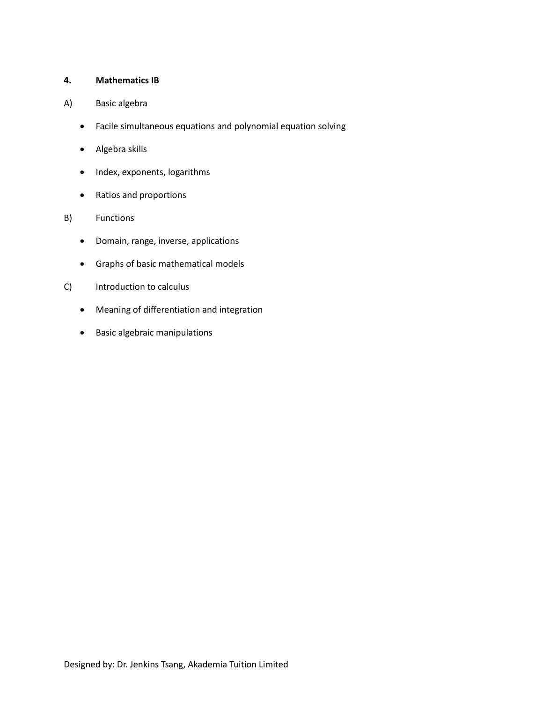# **4. Mathematics IB**

- A) Basic algebra
	- Facile simultaneous equations and polynomial equation solving
	- Algebra skills
	- Index, exponents, logarithms
	- Ratios and proportions
- B) Functions
	- Domain, range, inverse, applications
	- Graphs of basic mathematical models
- C) Introduction to calculus
	- Meaning of differentiation and integration
	- Basic algebraic manipulations